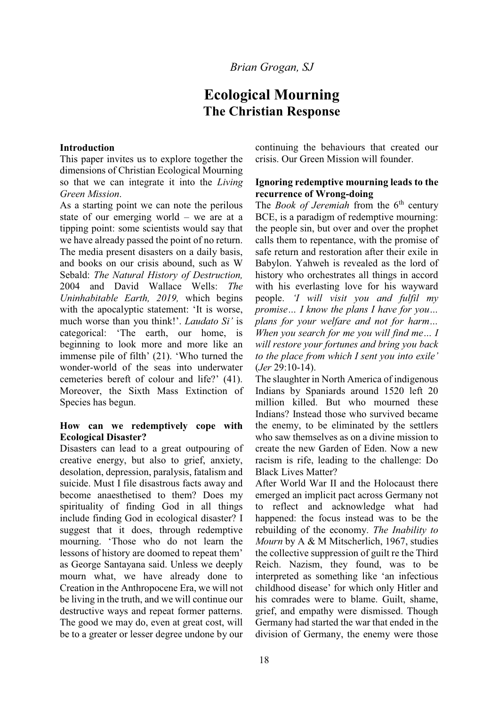# **Ecological Mourning The Christian Response**

#### **Introduction**

This paper invites us to explore together the dimensions of Christian Ecological Mourning so that we can integrate it into the *Living Green Mission*.

As a starting point we can note the perilous state of our emerging world  $-$  we are at a tipping point: some scientists would say that we have already passed the point of no return. The media present disasters on a daily basis, and books on our crisis abound, such as W Sebald: *The Natural History of Destruction,* 2004 and David Wallace Wells: *The Uninhabitable Earth, 2019,* which begins with the apocalyptic statement: 'It is worse, much worse than you think!'. *Laudato Si'* is categorical: 'The earth, our home, is beginning to look more and more like an immense pile of filth' (21). 'Who turned the wonder-world of the seas into underwater cemeteries bereft of colour and life?' (41). Moreover, the Sixth Mass Extinction of Species has begun.

## **How can we redemptively cope with Ecological Disaster?**

Disasters can lead to a great outpouring of creative energy, but also to grief, anxiety, desolation, depression, paralysis, fatalism and suicide. Must I file disastrous facts away and become anaesthetised to them? Does my spirituality of finding God in all things include finding God in ecological disaster? I suggest that it does, through redemptive mourning. 'Those who do not learn the lessons of history are doomed to repeat them' as George Santayana said. Unless we deeply mourn what, we have already done to Creation in the Anthropocene Era, we will not be living in the truth, and we will continue our destructive ways and repeat former patterns. The good we may do, even at great cost, will be to a greater or lesser degree undone by our

continuing the behaviours that created our crisis. Our Green Mission will founder.

#### **Ignoring redemptive mourning leads to the recurrence of Wrong-doing**

The *Book of Jeremiah* from the 6<sup>th</sup> century BCE, is a paradigm of redemptive mourning: the people sin, but over and over the prophet calls them to repentance, with the promise of safe return and restoration after their exile in Babylon. Yahweh is revealed as the lord of history who orchestrates all things in accord with his everlasting love for his wayward people. *I will visit you and fulfil my promise... I know the plans I have for you... plans for your welfare and not for harm... When you search for me you will find me... I will restore your fortunes and bring you back to the place from which I sent you into exile'* (*Jer* 29:10-14).

The slaughter in North America of indigenous Indians by Spaniards around 1520 left 20 million killed. But who mourned these Indians? Instead those who survived became the enemy, to be eliminated by the settlers who saw themselves as on a divine mission to create the new Garden of Eden. Now a new racism is rife, leading to the challenge: Do Black Lives Matter?

After World War II and the Holocaust there emerged an implicit pact across Germany not to reflect and acknowledge what had happened: the focus instead was to be the rebuilding of the economy. *The Inability to Mourn* by A & M Mitscherlich, 1967, studies the collective suppression of guilt re the Third Reich. Nazism, they found, was to be interpreted as something like 'an infectious childhood disease' for which only Hitler and his comrades were to blame. Guilt, shame, grief, and empathy were dismissed. Though Germany had started the war that ended in the division of Germany, the enemy were those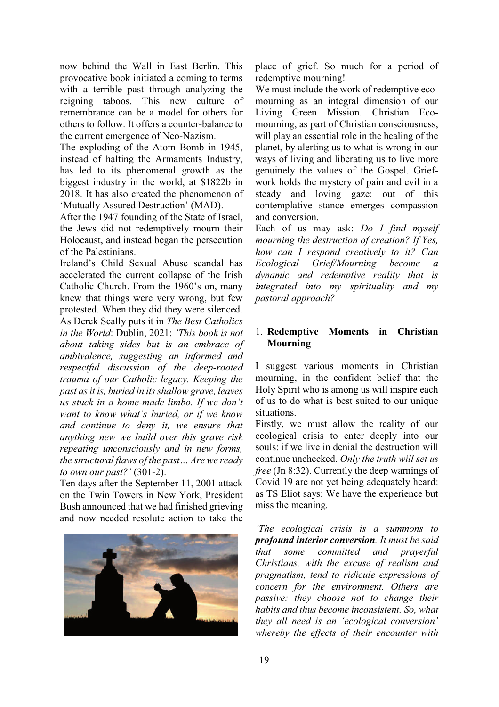now behind the Wall in East Berlin. This provocative book initiated a coming to terms with a terrible past through analyzing the reigning taboos. This new culture of remembrance can be a model for others for others to follow. It offers a counter-balance to the current emergence of Neo-Nazism.

The exploding of the Atom Bomb in 1945, instead of halting the Armaments Industry, has led to its phenomenal growth as the biggest industry in the world, at \$1822b in 2018. It has also created the phenomenon of 'Mutually Assured Destruction' (MAD).

After the 1947 founding of the State of Israel, the Jews did not redemptively mourn their Holocaust, and instead began the persecution of the Palestinians.

Ireland's Child Sexual Abuse scandal has accelerated the current collapse of the Irish Catholic Church. From the 1960's on, many knew that things were very wrong, but few protested. When they did they were silenced. As Derek Scally puts it in *The Best Catholics in the World*: Dublin, 2021: *This book is not about taking sides but is an embrace of ambivalence, suggesting an informed and respectful discussion of the deep-rooted trauma of our Catholic legacy. Keeping the past as it is, buried in its shallow grave, leaves us stuck in a home-made limbo. If we don't Want to know what's buried, or if we know and continue to deny it, we ensure that anything new we build over this grave risk repeating unconsciously and in new forms, the structural flaws of the past* ... *Are we ready to own our past?'* (301-2).

Ten days after the September 11, 2001 attack on the Twin Towers in New York, President Bush announced that we had finished grieving and now needed resolute action to take the



place of grief. So much for a period of redemptive mourning!

We must include the work of redemptive ecomourning as an integral dimension of our Living Green Mission. Christian Ecomourning, as part of Christian consciousness, will play an essential role in the healing of the planet, by alerting us to what is wrong in our ways of living and liberating us to live more genuinely the values of the Gospel. Griefwork holds the mystery of pain and evil in a steady and loving gaze: out of this contemplative stance emerges compassion and conversion.

Each of us may ask: *Do I find myself mourning the destruction of creation? If Yes, how can I respond creatively to it? Can Ecological Grief/Mourning become a dynamic and redemptive reality that is integrated into my spirituality and my pastoral approach?*

# 1. **Redemptive Moments in Christian Mourning**

I suggest various moments in Christian mourning, in the confident belief that the Holy Spirit who is among us will inspire each of us to do what is best suited to our unique situations.

Firstly, we must allow the reality of our ecological crisis to enter deeply into our souls: if we live in denial the destruction will continue unchecked. *Only the truth will set us free* (Jn 8:32). Currently the deep warnings of Covid 19 are not yet being adequately heard: as TS Eliot says: We have the experience but miss the meaning*.*

*The ecological crisis is a summons to profound interior conversion. It must be said that some committed and prayerful Christians, with the excuse of realism and pragmatism, tend to ridicule expressions of concern for the environment. Others are passive: they choose not to change their habits and thus become inconsistent. So, what they all need is an 'ecological conversion' whereby the effects of their encounter with*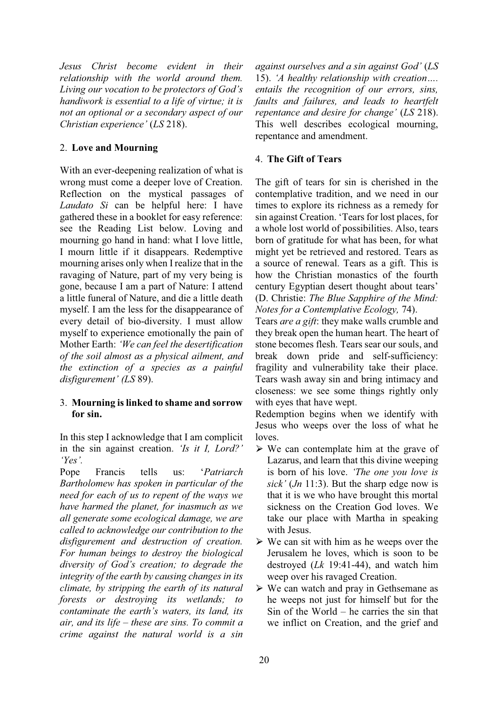*Jesus Christ become evident in their relationship with the world around them. Living our vocation to be protectors of God's handiwork is essential to a life of virtue; it is not an optional or a secondary aspect of our Christian experience' (LS 218).* 

# 2. **Love and Mourning**

With an ever-deepening realization of what is wrong must come a deeper love of Creation. Reflection on the mystical passages of *Laudato Si* can be helpful here: I have gathered these in a booklet for easy reference: see the Reading List below. Loving and mourning go hand in hand: what I love little, I mourn little if it disappears. Redemptive mourning arises only when I realize that in the ravaging of Nature, part of my very being is gone, because I am a part of Nature: I attend a little funeral of Nature, and die a little death myself. I am the less for the disappearance of every detail of bio-diversity. I must allow myself to experience emotionally the pain of Mother Earth: 'We can feel the desertification *of the soil almost as a physical ailment, and the extinction of a species as a painful disfigurement' (LS 89).* 

# 3. **Mourning is linked to shame and sorrow for sin.**

In this step I acknowledge that I am complicit in the sin against creation. *'Is it I, Lord?'*  $Y_{\text{ex}}'$ 

Pope Francis tells us: *Patriarch Bartholomew has spoken in particular of the need for each of us to repent of the ways we have harmed the planet, for inasmuch as we all generate some ecological damage, we are called to acknowledge our contribution to the disfigurement and destruction of creation. For human beings to destroy the biological diversity of God's creation; to degrade the integrity of the earth by causing changes in its climate, by stripping the earth of its natural forests or destroying its wetlands; to contaminate the earth's waters, its land, its air, and its life ± these are sins. To commit a crime against the natural world is a sin* 

*dgainst ourselves and a sin against God'* (*LS* 15). *'A healthy relationship with creation*.... *entails the recognition of our errors, sins, faults and failures, and leads to heartfelt Fepentance and desire for change' (LS 218).* This well describes ecological mourning, repentance and amendment.

# 4. **The Gift of Tears**

The gift of tears for sin is cherished in the contemplative tradition, and we need in our times to explore its richness as a remedy for sin against Creation. 'Tears for lost places, for a whole lost world of possibilities. Also, tears born of gratitude for what has been, for what might yet be retrieved and restored. Tears as a source of renewal. Tears as a gift. This is how the Christian monastics of the fourth century Egyptian desert thought about tears' (D. Christie: *The Blue Sapphire of the Mind: Notes for a Contemplative Ecology,* 74).

Tears *are a gift*: they make walls crumble and they break open the human heart. The heart of stone becomes flesh. Tears sear our souls, and break down pride and self-sufficiency: fragility and vulnerability take their place. Tears wash away sin and bring intimacy and closeness: we see some things rightly only with eyes that have wept.

Redemption begins when we identify with Jesus who weeps over the loss of what he loves.

- $\triangleright$  We can contemplate him at the grave of Lazarus, and learn that this divine weeping is born of his love. *The one you love is*  $sick'$  (*Jn* 11:3). But the sharp edge now is that it is we who have brought this mortal sickness on the Creation God loves. We take our place with Martha in speaking with Jesus.
- $\triangleright$  We can sit with him as he weeps over the Jerusalem he loves, which is soon to be destroyed (*Lk* 19:41-44), and watch him weep over his ravaged Creation.
- $\triangleright$  We can watch and pray in Gethsemane as he weeps not just for himself but for the Sin of the World  $-$  he carries the sin that we inflict on Creation, and the grief and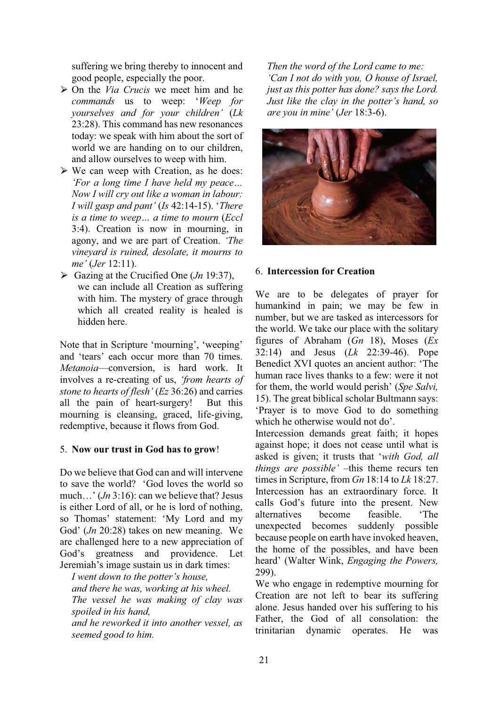suffering we bring thereby to innocent and good people, especially the poor.

- ཙ On the *Via Crucis* we meet him and he *commands* us to weep: 'Weep for *<u>Xourselves</u>* and for your children' (Lk 23:28). This command has new resonances today: we speak with him about the sort of world we are handing on to our children, and allow ourselves to weep with him.
- $\triangleright$  We can weep with Creation, as he does: *'For a long time I have held my peace... Now I will cry out like a woman in labour: I* will gasp and pant' (*Is* 42:14-15). 'There *Lis a time to weep... a time to mourn (Eccl* 3:4). Creation is now in mourning, in agony, and we are part of Creation. *The vineyard is ruined, desolate, it mourns to me*' (*Jer* 12:11).
- $\triangleright$  Gazing at the Crucified One (*Jn* 19:37), we can include all Creation as suffering with him. The mystery of grace through which all created reality is healed is hidden here.

Note that in Scripture 'mourning', 'weeping' and 'tears' each occur more than 70 times *Metanoia*—conversion, is hard work. It involves a re-creating of us, *'from hearts of stone to hearts of flesh'* (*Ez* 36:26) and carries all the pain of heart-surgery! But this mourning is cleansing, graced, life-giving, redemptive, because it flows from God.

## 5. **Now our trust in God has to grow**!

Do we believe that God can and will intervene to save the world? 'God loves the world so much...'  $(In 3:16)$ : can we believe that? Jesus is either Lord of all, or he is lord of nothing, so Thomas' statement: 'My Lord and my God' (*Jn* 20:28) takes on new meaning. We are challenged here to a new appreciation of God's greatness and providence. Let Jeremiah's image sustain us in dark times:

*I* went down to the potter's house, *and there he was, working at his wheel. The vessel he was making of clay was spoiled in his hand, and he reworked it into another vessel, as seemed good to him.*

*Then the word of the Lord came to me: 'Can I not do with you, O house of Israel, just as this potter has done? says the Lord. Just like the clay in the potter's hand, so are you in mine' (Jer 18:3-6).* 



## 6. **Intercession for Creation**

We are to be delegates of prayer for humankind in pain; we may be few in number, but we are tasked as intercessors for the world. We take our place with the solitary figures of Abraham (*Gn* 18), Moses (*Ex*  32:14) and Jesus (*Lk* 22:39-46). Pope Benedict XVI quotes an ancient author: 'The human race lives thanks to a few: were it not for them, the world would perish' (Spe Salvi, 15). The great biblical scholar Bultmann says: Praver is to move God to do something which he otherwise would not do'.

Intercession demands great faith; it hopes against hope; it does not cease until what is asked is given; it trusts that 'with God, all *things are possible'* -this theme recurs ten times in Scripture, from *Gn* 18:14 to *Lk* 18:27. Intercession has an extraordinary force. It calls God's future into the present. New alternatives become feasible. The unexpected becomes suddenly possible because people on earth have invoked heaven, the home of the possibles, and have been heard' (Walter Wink, *Engaging the Powers*, 299).

We who engage in redemptive mourning for Creation are not left to bear its suffering alone. Jesus handed over his suffering to his Father, the God of all consolation: the trinitarian dynamic operates. He was